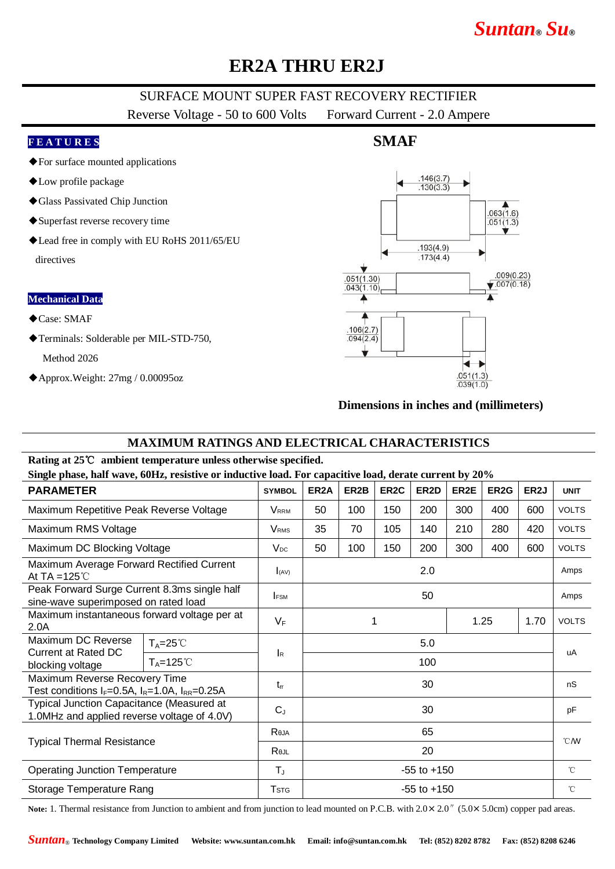# *Suntan***®** *Su***®**

## **ER2A THRU ER2J**

## SURFACE MOUNT SUPER FAST RECOVERY RECTIFIER

Reverse Voltage - 50 to 600 Volts Forward Current - 2.0 Ampere

#### **F E A T U R E S**

- ◆For surface mounted applications
- ◆Low profile package
- ◆Glass Passivated Chip Junction
- ◆Superfast reverse recovery time
- ◆Lead free in comply with EU RoHS 2011/65/EU directives

#### **Mechanical Data**

- ◆Case: SMAF
- ◆Terminals: Solderable per MIL-STD-750, Method 2026
	-
- ◆Approx.Weight: 27mg / 0.00095oz

## **SMAF**



### **Dimensions in inches and (millimeters)**

### **MAXIMUM RATINGS AND ELECTRICAL CHARACTERISTICS**

#### **Rating at 25**℃ **ambient temperature unless otherwise specified.**

**Single phase, half wave, 60Hz, resistive or inductive load. For capacitive load, derate current by 20%**

| <b>PARAMETER</b>                                                                                |                      | <b>SYMBOL</b>             | ER <sub>2</sub> A | ER <sub>2</sub> B | ER <sub>2</sub> C | ER <sub>2</sub> D | ER2E | ER <sub>2</sub> G | ER <sub>2</sub> J | <b>UNIT</b>     |
|-------------------------------------------------------------------------------------------------|----------------------|---------------------------|-------------------|-------------------|-------------------|-------------------|------|-------------------|-------------------|-----------------|
|                                                                                                 |                      |                           |                   |                   |                   |                   |      |                   |                   |                 |
| Maximum Repetitive Peak Reverse Voltage                                                         |                      | <b>V</b> RRM              | 50                | 100               | 150               | 200               | 300  | 400               | 600               | <b>VOLTS</b>    |
| Maximum RMS Voltage                                                                             |                      | <b>V</b> <sub>RMS</sub>   | 35                | 70                | 105               | 140               | 210  | 280               | 420               | <b>VOLTS</b>    |
| Maximum DC Blocking Voltage                                                                     |                      | $V_{DC}$                  | 50                | 100               | 150               | 200               | 300  | 400               | 600               | <b>VOLTS</b>    |
| Maximum Average Forward Rectified Current<br>At TA = $125^\circ$ C                              |                      | I(AV)                     | 2.0               |                   |                   |                   |      |                   | Amps              |                 |
| Peak Forward Surge Current 8.3ms single half<br>sine-wave superimposed on rated load            |                      | <b>FSM</b>                | 50                |                   |                   |                   |      |                   | Amps              |                 |
| Maximum instantaneous forward voltage per at<br>2.0A                                            |                      | $V_F$                     | 1<br>1.25         |                   |                   |                   | 1.70 | <b>VOLTS</b>      |                   |                 |
| Maximum DC Reverse<br><b>Current at Rated DC</b><br>blocking voltage                            | $T_A = 25^{\circ}$   |                           | 5.0               |                   |                   |                   |      |                   |                   | uA              |
|                                                                                                 | $T_A = 125^{\circ}C$ | $\mathsf{I}_{\mathsf{R}}$ | 100               |                   |                   |                   |      |                   |                   |                 |
| Maximum Reverse Recovery Time<br>Test conditions $I_F=0.5A$ , $I_R=1.0A$ , $I_{RR}=0.25A$       |                      | $t_{rr}$                  | 30                |                   |                   |                   |      |                   |                   | nS              |
| <b>Typical Junction Capacitance (Measured at</b><br>1.0MHz and applied reverse voltage of 4.0V) |                      | $C_{J}$                   | 30                |                   |                   |                   |      |                   |                   | pF              |
| <b>Typical Thermal Resistance</b>                                                               |                      | Reja                      | 65                |                   |                   |                   |      |                   |                   | $\mathcal{C}$ M |
|                                                                                                 |                      | Rejl                      | 20                |                   |                   |                   |      |                   |                   |                 |
| <b>Operating Junction Temperature</b>                                                           |                      | $T_{J}$                   | $-55$ to $+150$   |                   |                   |                   |      |                   | $^{\circ}$ C      |                 |
| Storage Temperature Rang                                                                        |                      | <b>T</b> <sub>STG</sub>   | $-55$ to $+150$   |                   |                   |                   |      |                   |                   | $^{\circ}$ C    |

Note: 1. Thermal resistance from Junction to ambient and from junction to lead mounted on P.C.B. with  $2.0 \times 2.0$ <sup>"</sup> (5.0×5.0cm) copper pad areas.